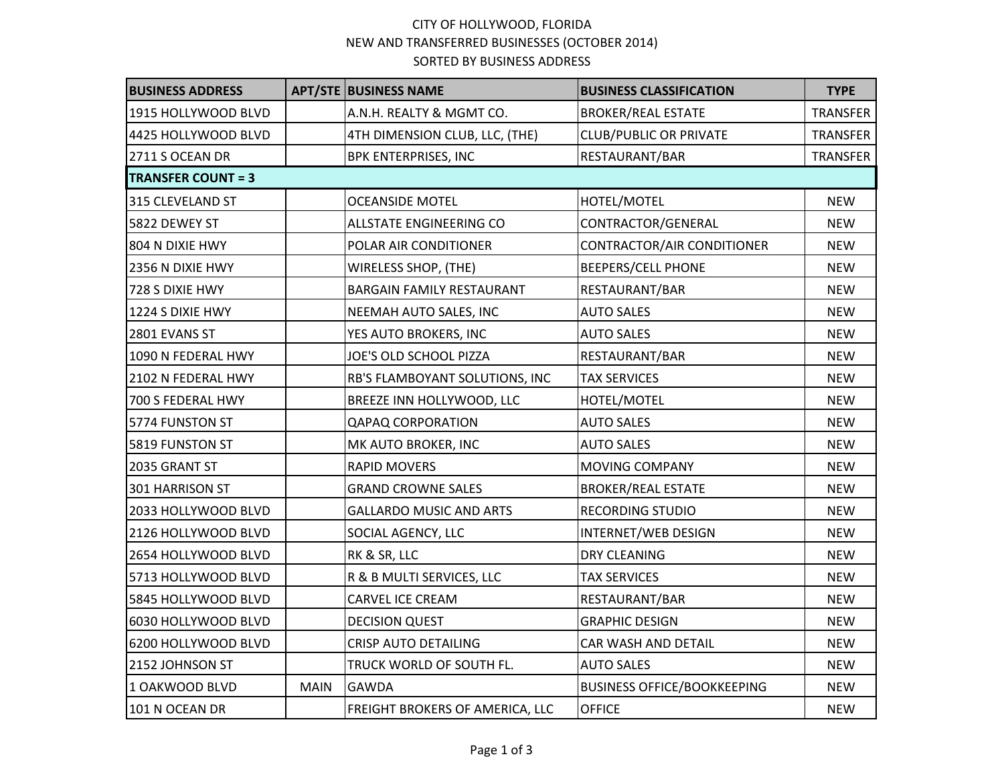## CITY OF HOLLYWOOD, FLORIDA NEW AND TRANSFERRED BUSINESSES (OCTOBER 2014) SORTED BY BUSINESS ADDRESS

| <b>BUSINESS ADDRESS</b>   |             | <b>APT/STE BUSINESS NAME</b>     | <b>BUSINESS CLASSIFICATION</b>     | <b>TYPE</b>     |
|---------------------------|-------------|----------------------------------|------------------------------------|-----------------|
| 1915 HOLLYWOOD BLVD       |             | A.N.H. REALTY & MGMT CO.         | <b>BROKER/REAL ESTATE</b>          | TRANSFER        |
| 4425 HOLLYWOOD BLVD       |             | 4TH DIMENSION CLUB, LLC, (THE)   | <b>CLUB/PUBLIC OR PRIVATE</b>      | <b>TRANSFER</b> |
| 2711 S OCEAN DR           |             | <b>BPK ENTERPRISES, INC</b>      | RESTAURANT/BAR                     | TRANSFER        |
| <b>TRANSFER COUNT = 3</b> |             |                                  |                                    |                 |
| 315 CLEVELAND ST          |             | <b>OCEANSIDE MOTEL</b>           | HOTEL/MOTEL                        | <b>NEW</b>      |
| 5822 DEWEY ST             |             | ALLSTATE ENGINEERING CO          | CONTRACTOR/GENERAL                 | <b>NEW</b>      |
| 804 N DIXIE HWY           |             | POLAR AIR CONDITIONER            | CONTRACTOR/AIR CONDITIONER         | <b>NEW</b>      |
| 2356 N DIXIE HWY          |             | WIRELESS SHOP, (THE)             | <b>BEEPERS/CELL PHONE</b>          | <b>NEW</b>      |
| 728 S DIXIE HWY           |             | <b>BARGAIN FAMILY RESTAURANT</b> | RESTAURANT/BAR                     | <b>NEW</b>      |
| 1224 S DIXIE HWY          |             | NEEMAH AUTO SALES, INC           | <b>AUTO SALES</b>                  | <b>NEW</b>      |
| 2801 EVANS ST             |             | YES AUTO BROKERS, INC            | <b>AUTO SALES</b>                  | <b>NEW</b>      |
| 1090 N FEDERAL HWY        |             | JOE'S OLD SCHOOL PIZZA           | RESTAURANT/BAR                     | <b>NEW</b>      |
| 2102 N FEDERAL HWY        |             | RB'S FLAMBOYANT SOLUTIONS, INC   | <b>TAX SERVICES</b>                | <b>NEW</b>      |
| 700 S FEDERAL HWY         |             | BREEZE INN HOLLYWOOD, LLC        | HOTEL/MOTEL                        | <b>NEW</b>      |
| 5774 FUNSTON ST           |             | <b>QAPAQ CORPORATION</b>         | <b>AUTO SALES</b>                  | <b>NEW</b>      |
| 5819 FUNSTON ST           |             | MK AUTO BROKER, INC              | <b>AUTO SALES</b>                  | <b>NEW</b>      |
| 2035 GRANT ST             |             | <b>RAPID MOVERS</b>              | MOVING COMPANY                     | <b>NEW</b>      |
| 301 HARRISON ST           |             | <b>GRAND CROWNE SALES</b>        | <b>BROKER/REAL ESTATE</b>          | <b>NEW</b>      |
| 2033 HOLLYWOOD BLVD       |             | <b>GALLARDO MUSIC AND ARTS</b>   | <b>RECORDING STUDIO</b>            | <b>NEW</b>      |
| 2126 HOLLYWOOD BLVD       |             | SOCIAL AGENCY, LLC               | INTERNET/WEB DESIGN                | <b>NEW</b>      |
| 2654 HOLLYWOOD BLVD       |             | RK & SR, LLC                     | <b>DRY CLEANING</b>                | <b>NEW</b>      |
| 5713 HOLLYWOOD BLVD       |             | R & B MULTI SERVICES, LLC        | <b>TAX SERVICES</b>                | <b>NEW</b>      |
| 5845 HOLLYWOOD BLVD       |             | <b>CARVEL ICE CREAM</b>          | RESTAURANT/BAR                     | <b>NEW</b>      |
| 6030 HOLLYWOOD BLVD       |             | <b>DECISION QUEST</b>            | <b>GRAPHIC DESIGN</b>              | <b>NEW</b>      |
| 6200 HOLLYWOOD BLVD       |             | <b>CRISP AUTO DETAILING</b>      | CAR WASH AND DETAIL                | <b>NEW</b>      |
| 2152 JOHNSON ST           |             | TRUCK WORLD OF SOUTH FL.         | <b>AUTO SALES</b>                  | <b>NEW</b>      |
| 1 OAKWOOD BLVD            | <b>MAIN</b> | GAWDA                            | <b>BUSINESS OFFICE/BOOKKEEPING</b> | <b>NEW</b>      |
| 101 N OCEAN DR            |             | FREIGHT BROKERS OF AMERICA, LLC  | <b>OFFICE</b>                      | <b>NEW</b>      |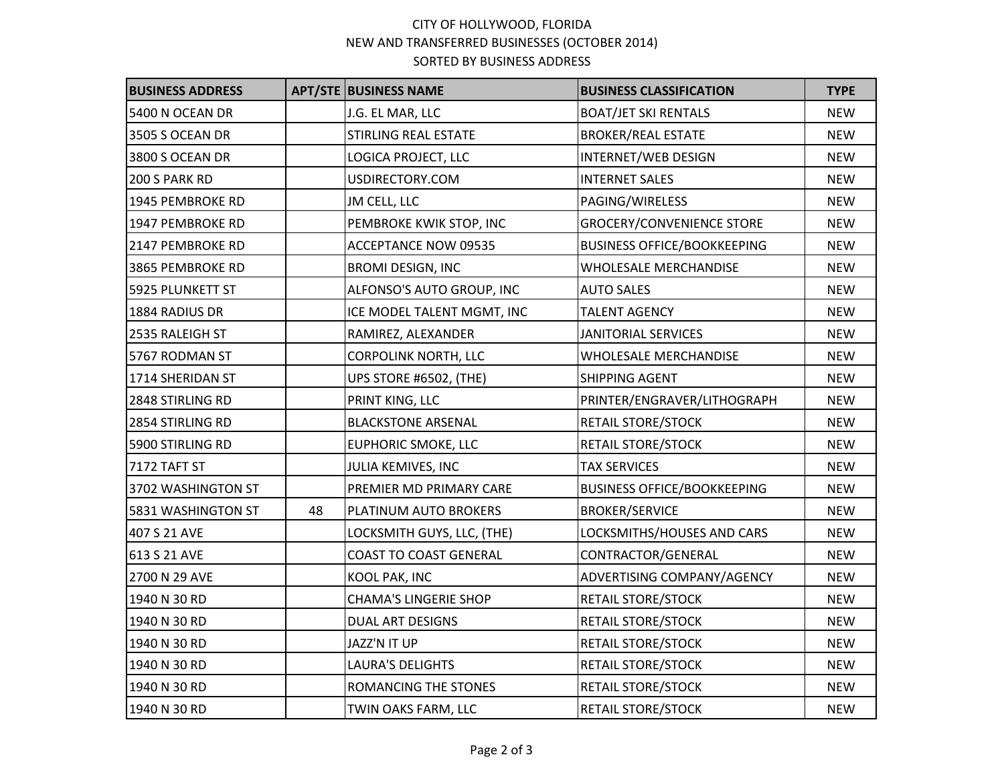## CITY OF HOLLYWOOD, FLORIDA NEW AND TRANSFERRED BUSINESSES (OCTOBER 2014) SORTED BY BUSINESS ADDRESS

| <b>BUSINESS ADDRESS</b> |    | <b>APT/STE BUSINESS NAME</b>  | <b>BUSINESS CLASSIFICATION</b>     | <b>TYPE</b> |
|-------------------------|----|-------------------------------|------------------------------------|-------------|
| 5400 N OCEAN DR         |    | J.G. EL MAR, LLC              | <b>BOAT/JET SKI RENTALS</b>        | <b>NEW</b>  |
| 3505 S OCEAN DR         |    | <b>STIRLING REAL ESTATE</b>   | <b>BROKER/REAL ESTATE</b>          | <b>NEW</b>  |
| 3800 S OCEAN DR         |    | LOGICA PROJECT, LLC           | <b>INTERNET/WEB DESIGN</b>         | <b>NEW</b>  |
| 200 S PARK RD           |    | USDIRECTORY.COM               | <b>INTERNET SALES</b>              | <b>NEW</b>  |
| 1945 PEMBROKE RD        |    | JM CELL, LLC                  | PAGING/WIRELESS                    | <b>NEW</b>  |
| 1947 PEMBROKE RD        |    | PEMBROKE KWIK STOP, INC       | <b>GROCERY/CONVENIENCE STORE</b>   | <b>NEW</b>  |
| 2147 PEMBROKE RD        |    | <b>ACCEPTANCE NOW 09535</b>   | <b>BUSINESS OFFICE/BOOKKEEPING</b> | <b>NEW</b>  |
| 3865 PEMBROKE RD        |    | <b>BROMI DESIGN, INC</b>      | WHOLESALE MERCHANDISE              | <b>NEW</b>  |
| 5925 PLUNKETT ST        |    | ALFONSO'S AUTO GROUP, INC     | <b>AUTO SALES</b>                  | <b>NEW</b>  |
| 1884 RADIUS DR          |    | ICE MODEL TALENT MGMT, INC    | <b>TALENT AGENCY</b>               | <b>NEW</b>  |
| 2535 RALEIGH ST         |    | RAMIREZ, ALEXANDER            | <b>JANITORIAL SERVICES</b>         | <b>NEW</b>  |
| 5767 RODMAN ST          |    | <b>CORPOLINK NORTH, LLC</b>   | <b>WHOLESALE MERCHANDISE</b>       | <b>NEW</b>  |
| 1714 SHERIDAN ST        |    | UPS STORE #6502, (THE)        | <b>SHIPPING AGENT</b>              | <b>NEW</b>  |
| 2848 STIRLING RD        |    | PRINT KING, LLC               | PRINTER/ENGRAVER/LITHOGRAPH        | <b>NEW</b>  |
| 2854 STIRLING RD        |    | <b>BLACKSTONE ARSENAL</b>     | <b>RETAIL STORE/STOCK</b>          | <b>NEW</b>  |
| 5900 STIRLING RD        |    | <b>EUPHORIC SMOKE, LLC</b>    | <b>RETAIL STORE/STOCK</b>          | <b>NEW</b>  |
| 7172 TAFT ST            |    | JULIA KEMIVES, INC            | <b>TAX SERVICES</b>                | <b>NEW</b>  |
| 3702 WASHINGTON ST      |    | PREMIER MD PRIMARY CARE       | <b>BUSINESS OFFICE/BOOKKEEPING</b> | <b>NEW</b>  |
| 5831 WASHINGTON ST      | 48 | PLATINUM AUTO BROKERS         | <b>BROKER/SERVICE</b>              | <b>NEW</b>  |
| 407 S 21 AVE            |    | LOCKSMITH GUYS, LLC, (THE)    | LOCKSMITHS/HOUSES AND CARS         | <b>NEW</b>  |
| 613 S 21 AVE            |    | <b>COAST TO COAST GENERAL</b> | CONTRACTOR/GENERAL                 | <b>NEW</b>  |
| 2700 N 29 AVE           |    | KOOL PAK, INC                 | ADVERTISING COMPANY/AGENCY         | <b>NEW</b>  |
| 1940 N 30 RD            |    | <b>CHAMA'S LINGERIE SHOP</b>  | <b>RETAIL STORE/STOCK</b>          | <b>NEW</b>  |
| 1940 N 30 RD            |    | <b>DUAL ART DESIGNS</b>       | <b>RETAIL STORE/STOCK</b>          | <b>NEW</b>  |
| 1940 N 30 RD            |    | JAZZ'N IT UP                  | <b>RETAIL STORE/STOCK</b>          | <b>NEW</b>  |
| 1940 N 30 RD            |    | <b>LAURA'S DELIGHTS</b>       | <b>RETAIL STORE/STOCK</b>          | <b>NEW</b>  |
| 1940 N 30 RD            |    | ROMANCING THE STONES          | <b>RETAIL STORE/STOCK</b>          | <b>NEW</b>  |
| 1940 N 30 RD            |    | TWIN OAKS FARM, LLC           | <b>RETAIL STORE/STOCK</b>          | <b>NEW</b>  |